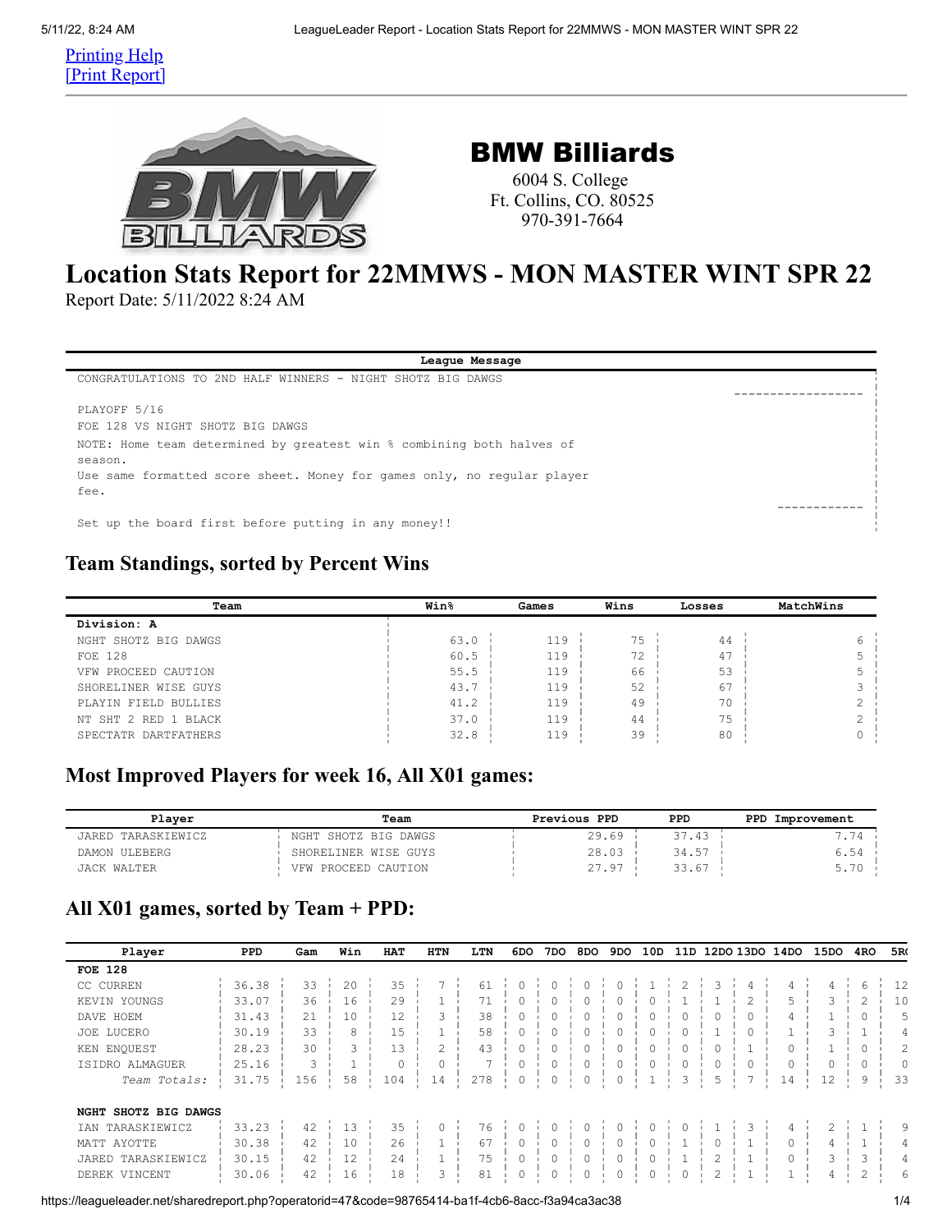Printing Help [Print Report]



## BMW Billiards

6004 S. College Ft. Collins, CO. 80525 970-391-7664

# **Location Stats Report for 22MMWS - MON MASTER WINT SPR 22**

Report Date: 5/11/2022 8:24 AM

| League Message                                                          |  |
|-------------------------------------------------------------------------|--|
| CONGRATULATIONS TO 2ND HALF WINNERS - NIGHT SHOTZ BIG DAWGS             |  |
|                                                                         |  |
| PLAYOFF 5/16                                                            |  |
| FOR 128 VS NIGHT SHOTZ BIG DAWGS                                        |  |
| NOTE: Home team determined by greatest win % combining both halves of   |  |
| season.                                                                 |  |
| Use same formatted score sheet. Money for games only, no requiar player |  |
| fee.                                                                    |  |
|                                                                         |  |
| Set up the board first before putting in any money!!                    |  |
|                                                                         |  |

### **Team Standings, sorted by Percent Wins**

| Team                 | <b>Win</b> % | Games | Wins | Losses | MatchWins |
|----------------------|--------------|-------|------|--------|-----------|
| Division: A          |              |       |      |        |           |
| NGHT SHOTZ BIG DAWGS | 63.0         | 119   | 75   | 44     |           |
| FOE 128              | 60.5         | 119   | 72   | 47     |           |
| VFW PROCEED CAUTION  | 55.5         | 119   | 66   | 53     |           |
| SHORELINER WISE GUYS | 43.7         | 119   | 52   | 67     |           |
| PLAYIN FIELD BULLIES | 41.2         | 119   | 49   | 70     |           |
| NT SHT 2 RED 1 BLACK | 37.0         | 119   | 44   | 75     |           |
| SPECTATR DARTFATHERS | 32.8         | 119   | 39   | 80     |           |

### **Most Improved Players for week 16, All X01 games:**

| Plaver             | Team                 | Previous PPD | PPD   | PPD Improvement |
|--------------------|----------------------|--------------|-------|-----------------|
| JARED TARASKIEWICZ | NGHT SHOTZ BIG DAWGS | 29.69        | 37.43 |                 |
| DAMON ULEBERG      | SHORELINER WISE GUYS | 28.03        | 34.57 | 6.54            |
| <b>JACK WALTER</b> | VFW PROCEED CAUTION  | 27.97        | 33.67 | 5.70            |

### **All X01 games, sorted by Team + PPD:**

| Player                     | <b>PPD</b> | Gam | Win | HAT | <b>HTN</b> | LTN            | 6DO      | 7DO | 8DO | 9DO      | 10D     | 11D      |   |          | 12DO 13DO 14DO | 15DO | 4RO            | 5R(            |
|----------------------------|------------|-----|-----|-----|------------|----------------|----------|-----|-----|----------|---------|----------|---|----------|----------------|------|----------------|----------------|
| <b>FOE 128</b>             |            |     |     |     |            |                |          |     |     |          |         |          |   |          |                |      |                |                |
| CC CURREN                  | 36.38      | 33  | 20  | 35  |            | 61             |          |     |     |          |         |          | 3 | 4        |                | 4    | 6              | 12             |
| KEVIN YOUNGS               | 33.07      | 36  | 16  | 29  |            | 71             | $\Omega$ | 0   |     | $\Omega$ | $\circ$ |          |   | 2        | 5              | 3    | $\overline{c}$ | 10             |
| DAVE HOEM                  | 31.43      | 21  | 10  | 12  | 3          | 38             |          |     |     | 0        |         | $\Omega$ |   | $\Omega$ | 4              |      | $\Omega$       | 5              |
| LUCERO<br>JOE              | 30.19      | 33  | 8   | 15  |            | 58             | $\Omega$ |     |     | 0        |         | $\Omega$ |   | $\Omega$ |                | 3    |                | 4              |
| KEN ENQUEST                | 28.23      | 30  | 3   | 13  | 2          | 43             | 0        | 0   |     | 0        |         | 0        |   |          |                |      | $\Omega$       | $\overline{2}$ |
| ISIDRO ALMAGUER            | 25.16      | 3   |     |     | 0          | $\overline{ }$ |          | 0   |     | $\Omega$ |         | 0        | 0 | $\circ$  |                | 0    | $\Omega$       | 0              |
| Team Totals:               | 31.75      | 156 | 58  | 104 | 14         | 278            |          |     |     |          |         | 3        | 5 |          | 14             | 12   | 9              | 33             |
| NGHT SHOTZ BIG DAWGS       |            |     |     |     |            |                |          |     |     |          |         |          |   |          |                |      |                |                |
| TARASKIEWICZ<br><b>TAN</b> | 33.23      | 42  | 13  | 35  | 0          | 76             |          |     |     |          |         |          |   | 3        |                |      |                | 9              |
| MATT AYOTTE                | 30.38      | 42  | 10  | 26  |            | 67             | $\Omega$ | 0   |     | $\Omega$ |         |          | 0 |          |                | 4    |                | 4              |
| JARED TARASKIEWICZ         | 30.15      | 42  | 12  | 24  |            | 75             |          |     |     |          |         |          | 2 |          |                | 3    | 3              | 4              |
| DEREK VINCENT              | 30.06      | 42  | 16  | 18  | 3          | 81             | 0        |     |     |          |         | 0        | 2 |          |                | 4    | 2              | 6              |

https://leagueleader.net/sharedreport.php?operatorid=47&code=98765414-ba1f-4cb6-8acc-f3a94ca3ac38 1/4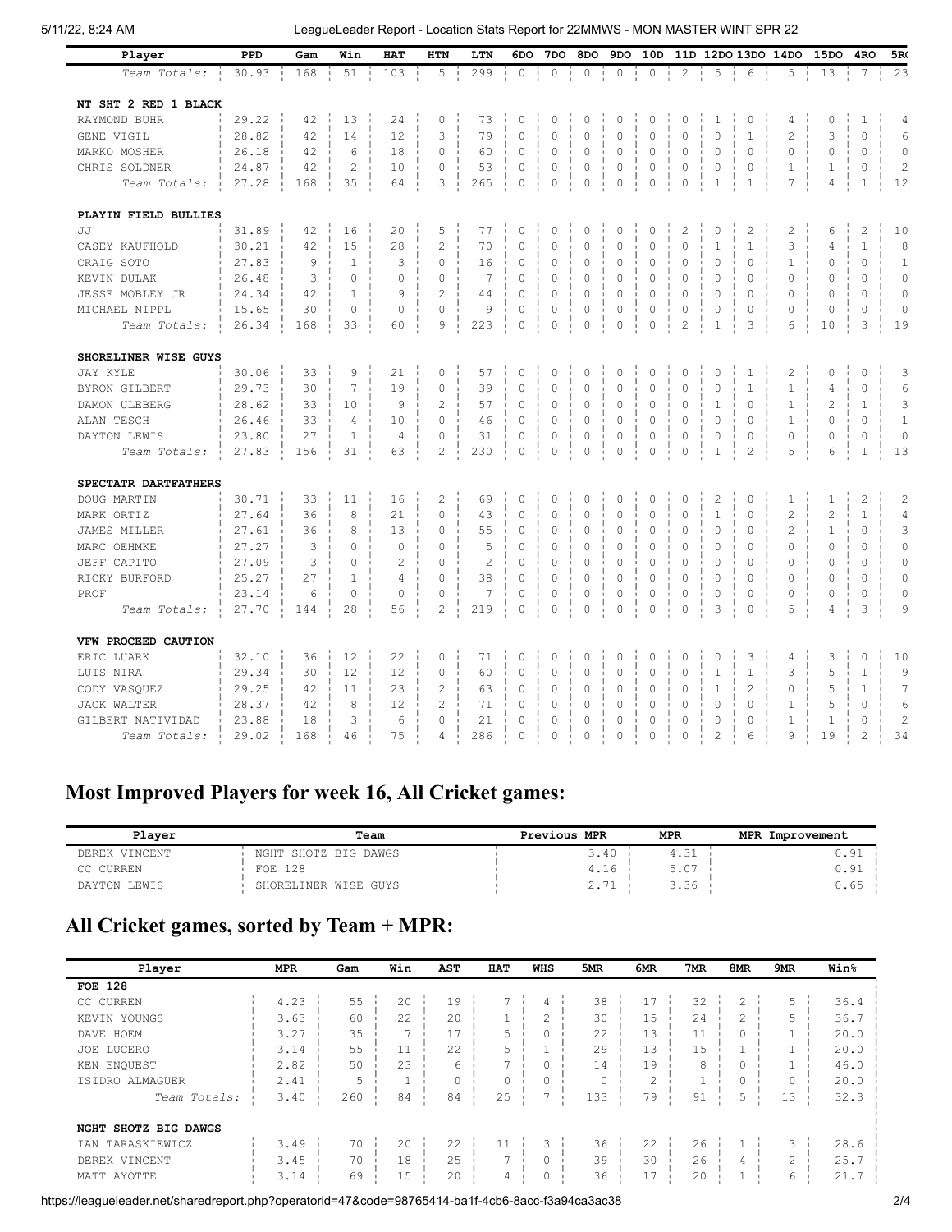#### 5/11/22, 8:24 AM LeagueLeader Report - Location Stats Report for 22MMWS - MON MASTER WINT SPR 22

| Player               | PPD   | Gam | Win            | <b>HAT</b>     | <b>HTN</b>     | LTN            | 6DO            | 7DO                 | 8DO      | 9DO         | 10D         |                |                |                | 11D 12DO 13DO 14DO | 15DO           | 4 <sub>RO</sub> | 5R(              |
|----------------------|-------|-----|----------------|----------------|----------------|----------------|----------------|---------------------|----------|-------------|-------------|----------------|----------------|----------------|--------------------|----------------|-----------------|------------------|
| Team Totals:         | 30.93 | 168 | 51             | 103            | 5              | 299            | 0              | $\circ$             | 0        | $\circ$     | 0           | $\overline{c}$ | 5              | 6              | 5                  | 13             | 7               | 2.3              |
| NT SHT 2 RED 1 BLACK |       |     |                |                |                |                |                |                     |          |             |             |                |                |                |                    |                |                 |                  |
| RAYMOND BUHR         | 29.22 | 42  | 13             | 24             | 0              | 73             | $\mathbf 0$    | $\mathbf 0$         | 0        | $\circ$     | $\mathbf 0$ | $\circ$        | $\mathbf{1}$   | $\mathbb O$    | 4                  | $\mathbf 0$    | $1\,$           | $\overline{4}$   |
| GENE VIGIL           | 28.82 | 42  | 14             | 12             | 3              | 79             | $\overline{0}$ | $\Omega$            | $\Omega$ | $\mathbf 0$ | $\Omega$    | $\overline{0}$ | $\Omega$       | $\mathbf{1}$   | $\overline{c}$     | 3              | $\Omega$        | 6                |
| MARKO MOSHER         | 26.18 | 42  | 6              | 18             | 0              | 60             | $\mathbf 0$    | $\mathbf 0$         | 0        | $\mathbf 0$ | $\circ$     | $\circ$        | $\mathbf 0$    | 0              | 0                  | 0              | $\circ$         | $\circ$          |
| CHRIS SOLDNER        | 24.87 | 42  | $\overline{c}$ | 10             | $\mathbf 0$    | 53             | $\mathbf 0$    | $\mathbf 0$         | 0        | $\circ$     | $\circ$     | $\mathbf 0$    | $\mathbf 0$    | $\circ$        | $\mathbf{1}$       | $\mathbf 1$    | $\circ$         | $\overline{c}$   |
| Team Totals:         | 27.28 | 168 | 35             | 64             | 3              | 265            | $\circ$        | $\circ$             | $\circ$  | $\circ$     | $\circ$     | $\circ$        | $\mathbf{1}$   | $\mathbf 1$    | 7                  | $\overline{4}$ | $\mathbf{1}$    | 12               |
|                      |       |     |                |                |                |                |                |                     |          |             |             |                |                |                |                    |                |                 |                  |
| PLAYIN FIELD BULLIES |       |     |                |                |                |                |                |                     |          |             |             |                |                |                |                    |                |                 |                  |
| <b>J.T</b>           | 31.89 | 42  | 16             | 20             | 5              | 77             | $\mathbf 0$    | 0                   | 0        | $\circ$     | $\circ$     | $\mathbf{2}$   | 0              | $\mathbf{2}$   | $\overline{c}$     | 6              | $\overline{c}$  | 10               |
| CASEY KAUFHOLD       | 30.21 | 42  | 15             | 28             | $\overline{c}$ | 70             | 0              | $\mathbf 0$         | $\Omega$ | $\mathbf 0$ | $\Omega$    | $\mathbf{0}$   | $\mathbf{1}$   | $\mathbf{1}$   | 3                  | 4              | $\mathbf{1}$    | 8                |
| CRAIG SOTO           | 27.83 | 9   | $\mathbf{1}$   | 3              | $\Omega$       | 16             | 0              | 0                   | 0        | 0           | $\circ$     | $\circ$        | $\mathbf 0$    | $\circ$        | 1                  | 0              | $\circ$         | $\mathbf{1}$     |
| KEVIN DULAK          | 26.48 | 3   | $\Omega$       | $\circ$        | $\Omega$       | 7              | 0              | 0                   | 0        | 0           | $\circ$     | $\circ$        | 0              | $\Omega$       | 0                  | $\Omega$       | $\Omega$        | $\circ$          |
| JESSE MOBLEY JR      | 24.34 | 42  | $\mathbf{1}$   | 9              | $\overline{c}$ | 44             | 0              | $\mathbf 0$         | 0        | 0           | $\circ$     | $\mathbf 0$    | $\mathbf 0$    | 0              | 0                  | $\circ$        | $\circ$         | $\circ$          |
| MICHAEL NIPPL        | 15.65 | 30  | $\circ$        | $\mathbf{0}$   | 0              | 9              | 0              | $\mathbf 0$         | 0        | 0           | 0           | $\circ$        | 0              | 0              | 0                  | 0              | $\circ$         | $\circ$          |
| Team Totals:         | 26.34 | 168 | 33             | 60             | 9              | 223            | 0              | $\circ$             | $\circ$  | 0           | $\circ$     | $\overline{c}$ | $\mathbf{1}$   | 3              | 6                  | 10             | 3               | 19               |
| SHORELINER WISE GUYS |       |     |                |                |                |                |                |                     |          |             |             |                |                |                |                    |                |                 |                  |
| <b>JAY KYLE</b>      | 30.06 | 33  | 9              | 21             | 0              | 57             | $\mathbf 0$    | $\mathbf 0$         | 0        | $\circ$     | $\circ$     | $\mathbf 0$    | $\mathbf 0$    | $\mathbf 1$    | 2                  | 0              | $\circ$         | 3                |
| <b>BYRON GILBERT</b> | 29.73 | 30  | 7              | 19             | 0              | 39             | 0              | 0                   | 0        | 0           | 0           | 0              | 0              | 1              | 1                  | 4              | $\circ$         | 6                |
| DAMON ULEBERG        | 28.62 | 33  | 10             | 9              | 2              | 57             | 0              | $\circ$             | 0        | 0           | 0           | $\circ$        | $1\,$          | 0              | $\mathbf 1$        | 2              | $\mathbf{1}$    | 3                |
| ALAN TESCH           | 26.46 | 33  | $\overline{4}$ | 10             | $\circ$        | 46             | 0              | 0                   | 0        | 0           | 0           | $\circ$        | 0              | 0              | 1                  | 0              | $\circ$         | $\mathbf{1}$     |
| DAYTON LEWIS         | 23.80 | 27  | $\mathbf{1}$   | $\overline{4}$ | $\circ$        | 31             | 0              | 0                   | 0        | $\circ$     | $\circ$     | $\mathbf 0$    | 0              | $\circ$        | 0                  | 0              | $\circ$         | $\circ$          |
| Team Totals:         | 27.83 | 156 | 31             | 63             | 2              | 230            | 0              | $\mathsf{O}\xspace$ | $\circ$  | $\circ$     | $\circ$     | $\mathbf 0$    | $\mathbf{1}$   | $\overline{c}$ | 5                  | 6              | $1\,$           | 13               |
|                      |       |     |                |                |                |                |                |                     |          |             |             |                |                |                |                    |                |                 |                  |
| SPECTATR DARTFATHERS |       |     |                |                |                |                |                |                     |          |             |             |                |                |                |                    |                |                 |                  |
| DOUG MARTIN          | 30.71 | 33  | 11             | 16             | $\overline{2}$ | 69             | $\mathbf 0$    | $\circ$             | 0        | 0           | $\circ$     | $\circ$        | $\overline{c}$ | $\mathbb O$    | 1                  | $\mathbf{1}$   | $\overline{c}$  | $\mathbf{2}$     |
| MARK ORTIZ           | 27.64 | 36  | 8              | 21             | $\Omega$       | 43             | 0              | $\mathbf 0$         | 0        | 0           | $\Omega$    | $\mathbf 0$    | $\mathbf{1}$   | 0              | $\overline{c}$     | $\overline{c}$ | $\mathbf{1}$    | $\overline{4}$   |
| JAMES MILLER         | 27.61 | 36  | 8              | 13             | 0              | 55             | 0              | $\mathbf 0$         | 0        | $\circ$     | $\circ$     | $\mathbf 0$    | $\mathbf 0$    | 0              | 2                  | $\mathbf{1}$   | $\circ$         | 3                |
| MARC OEHMKE          | 27.27 | 3   | 0              | $\circ$        | 0              | 5              | 0              | 0                   | 0        | 0           | 0           | $\mathbf 0$    | 0              | 0              | 0                  | $\circ$        | $\circ$         | $\circ$          |
| JEFF CAPITO          | 27.09 | 3   | 0              | 2              | 0              | $\overline{c}$ | 0              | 0                   | 0        | $\circ$     | 0           | $\mathbf 0$    | 0              | $\circ$        | 0                  | 0              | $\circ$         | $\circ$          |
| RICKY BURFORD        | 25.27 | 27  | $\mathbf{1}$   | 4              | $\circ$        | 38             | 0              | 0                   | 0        | 0           | 0           | $\mathbf 0$    | 0              | 0              | 0                  | 0              | 0               | $\circ$          |
| PROF                 | 23.14 | 6   | 0              | 0              | 0              | 7              | 0              | 0                   | 0        | 0           | 0           | $\mathbf 0$    | 0              | 0              | 0                  | 0              | 0               | 0                |
| Team Totals:         | 27.70 | 144 | 28             | 56             | 2              | 219            | 0              | $\mathsf{O}\xspace$ | 0        | 0           | 0           | $\circ$        | 3              | 0              | 5                  | 4              | 3               | 9                |
| VFW PROCEED CAUTION  |       |     |                |                |                |                |                |                     |          |             |             |                |                |                |                    |                |                 |                  |
| ERIC LUARK           | 32.10 | 36  | 12             | 22             | 0              | 71             | 0              | 0                   | 0        | 0           | 0           | $\circ$        | 0              | 3              | 4                  | 3              | 0               | 10               |
| LUIS NIRA            | 29.34 | 30  | 12             | 12             | 0              | 60             | 0              | 0                   | 0        | $\circ$     | $\circ$     | $\circ$        | 1              | 1              | 3                  | 5              | 1               | 9                |
| CODY VASQUEZ         | 29.25 | 42  | 11             | 23             | 2              | 63             | 0              | 0                   | 0        | 0           | 0           | $\circ$        | $\mathbf 1$    | $\overline{c}$ | 0                  | 5              | $\mathbf{1}$    | $\boldsymbol{7}$ |
| JACK WALTER          | 28.37 | 42  | 8              | 12             | 2              | 71             | 0              | 0                   | 0        | 0           | 0           | 0              | 0              | 0              | 1                  | 5              | $\circ$         | 6                |
| GILBERT NATIVIDAD    | 23.88 | 18  | 3              | 6              | 0              | 21             | 0              | 0                   | 0        | 0           | 0           | $\mathbf 0$    | 0              | $\circ$        | 1                  | $\mathbf{1}$   | $\circ$         | $\sqrt{2}$       |
| Team Totals:         | 29.02 | 168 | 46             | 75             | 4              | 286            | 0              | $\mathbf 0$         | 0        | 0           | 0           | 0              | $\overline{c}$ | 6              | 9                  | 19             | $\overline{2}$  | 34               |

# **Most Improved Players for week 16, All Cricket games:**

| Plaver        | Team                 | Previous MPR | <b>MPR</b> | <b>MPR</b><br>Improvement |
|---------------|----------------------|--------------|------------|---------------------------|
| DEREK VINCENT | NGHT SHOTZ BIG DAWGS | 3.40         | 1.JI       | 0.91                      |
| CC CURREN     | FOE 128              | 4.16         |            | 0.91                      |
| DAYTON LEWIS  | SHORELINER WISE GUYS | $-1$<br>4.IT | 3.36       | 0.65                      |

### **All Cricket games, sorted by Team + MPR:**

| Player                                              | <b>MPR</b>           | Gam            | Win                      | AST             | HAT                           | WHS                      | 5MR            | 6MR            | 7MR            | 8MR            | 9MR                      | <b>Win</b> %         |
|-----------------------------------------------------|----------------------|----------------|--------------------------|-----------------|-------------------------------|--------------------------|----------------|----------------|----------------|----------------|--------------------------|----------------------|
| <b>FOE 128</b>                                      |                      |                |                          |                 |                               |                          |                |                |                |                |                          |                      |
| CC CURREN                                           | 4.23                 | 55             | 20                       | 19              | ⇁                             | 4                        | 38             | 17             | 32             | $\overline{c}$ | 5                        | 36.4                 |
| KEVIN YOUNGS                                        | 3.63                 | 60             | 22.2                     | 20              |                               | 2                        | 30             | 15             | 24             | $\overline{c}$ | 5                        | 36.7                 |
| DAVE HOEM                                           | 3.27                 | 35             | $\overline{\phantom{a}}$ | 17              | 5                             | 0                        | 22             | 13             | 11             | 0              |                          | 20.0                 |
| JOE LUCERO                                          | 3.14                 | 55             |                          | 22              | 5                             |                          | 29             | 13             | 15             |                |                          | 20.0                 |
| KEN ENQUEST                                         | 2.82                 | 50             | 23                       | 6               | $\overline{\phantom{0}}$      | 0                        | 14             | 19             | 8              | 0              |                          | 46.0                 |
| ISIDRO ALMAGUER                                     | 2.41                 | 5              |                          |                 | 0                             | $\circ$                  |                | 2              | ٠<br>┻         | 0              | $\Omega$                 | 20.0                 |
| Team Totals:                                        | 3.40                 | 260            | 84                       | 84              | 25                            | $\overline{\phantom{0}}$ | 133            | 79             | 91             | 5              | 13                       | 32.3                 |
| NGHT SHOTZ BIG DAWGS                                |                      |                |                          |                 |                               |                          |                |                |                |                |                          |                      |
| TARASKIEWICZ<br>IAN<br>DEREK VINCENT<br>MATT AYOTTE | 3.49<br>3.45<br>3.14 | 70<br>70<br>69 | 20<br>18<br>15           | 22<br>2.5<br>20 | $\overline{\phantom{0}}$<br>4 | 3<br>$\Omega$<br>0       | 36<br>39<br>36 | 22<br>30<br>17 | 26<br>26<br>20 | 4<br>м         | 3<br>$\mathfrak{D}$<br>6 | 28.6<br>25.7<br>21.7 |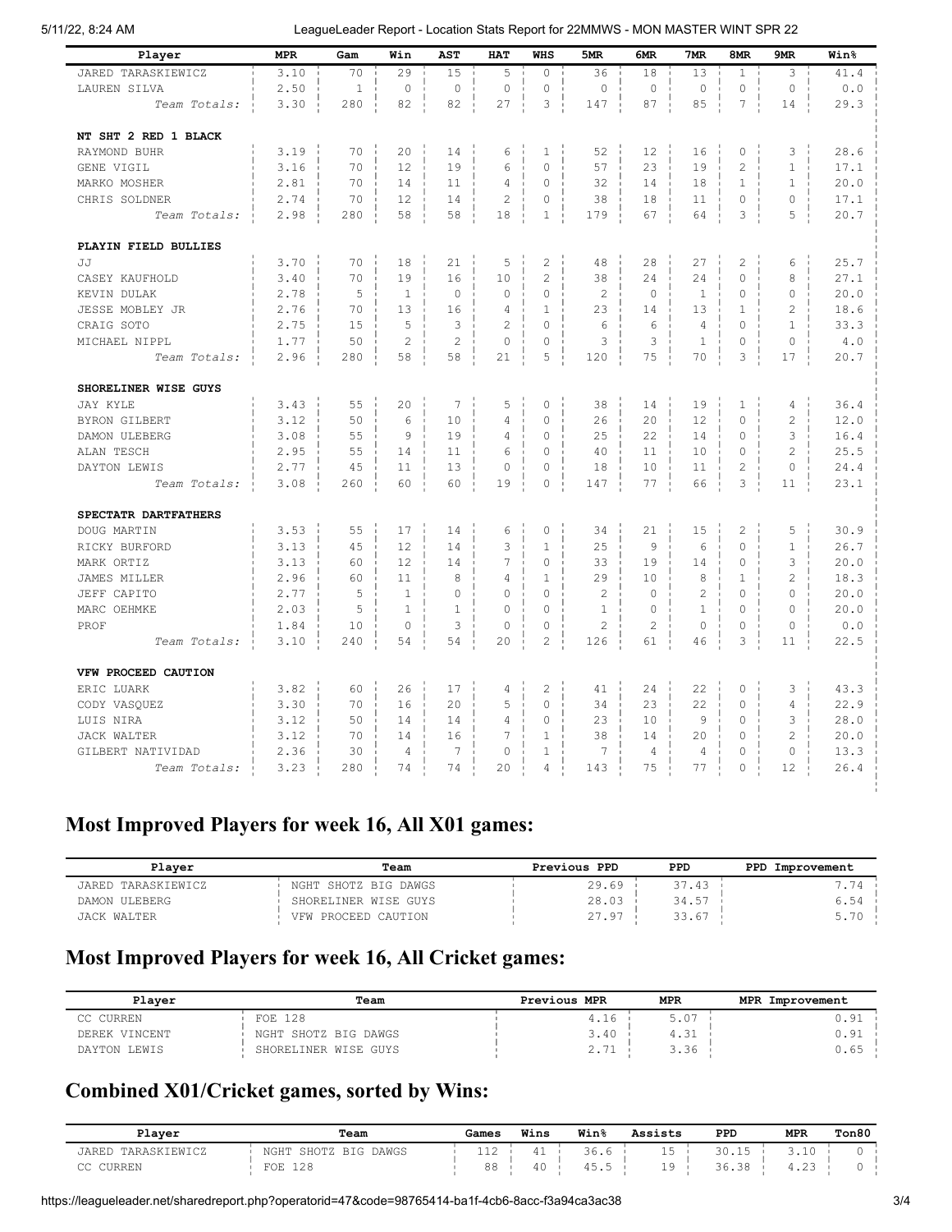5/11/22, 8:24 AM LeagueLeader Report - Location Stats Report for 22MMWS - MON MASTER WINT SPR 22

| Player                                  | <b>MPR</b> | Gam          | Win            | AST            | <b>HAT</b>     | <b>WHS</b>     | 5MR            | 6MR            | 7 <sub>MR</sub> | 8MR            | 9MR            | Win <sup>8</sup> |
|-----------------------------------------|------------|--------------|----------------|----------------|----------------|----------------|----------------|----------------|-----------------|----------------|----------------|------------------|
| JARED TARASKIEWICZ                      | 3.10       | 70           | 29             | 15             | 5              | 0              | 36             | 18             | 13              | $\mathbf{1}$   | 3              | 41.4             |
| LAUREN SILVA                            | 2.50       | $\mathbf{1}$ | $\circ$        | $\circ$        | $\mathbb O$    | $\circ$        | $\circ$        | $\mathbf 0$    | $\circ$         | $\circ$        | $\circ$        | 0.0              |
| Team Totals:                            | 3.30       | 280          | 82             | 82             | 27             | 3              | 147            | 87             | 85              | 7              | 14             | 29.3             |
|                                         |            |              |                |                |                |                |                |                |                 |                |                |                  |
| NT SHT 2 RED 1 BLACK                    |            |              |                |                |                |                |                |                |                 |                |                |                  |
| RAYMOND BUHR                            | 3.19       | 70           | 20             | 14             | 6              | $\mathbf{1}$   | 52             | 12             | 16              | $\circ$        | 3              | 28.6             |
| GENE VIGIL                              | 3.16       | 70           | 12             | 19             | 6              | 0              | 57             | 23             | 19              | $\overline{c}$ | $\mathbf{1}$   | 17.1             |
| MARKO MOSHER                            | 2.81       | 70           | 14             | 11             | $\overline{4}$ | 0              | 32             | 14             | 18              | $\mathbf{1}$   | $\mathbf{1}$   | 20.0             |
| CHRIS SOLDNER                           | 2.74       | 70           | 12             | 14             | $\overline{c}$ | 0              | 38             | 18             | 11              | $\circ$        | 0              | 17.1             |
| Team Totals:                            | 2.98       | 280          | 58             | 58             | 18             | $\mathbf 1$    | 179            | 67             | 64              | 3              | 5              | 20.7             |
|                                         |            |              |                |                |                |                |                |                |                 |                |                |                  |
| PLAYIN FIELD BULLIES                    |            |              |                |                |                |                |                |                |                 |                |                |                  |
| JJ                                      | 3.70       | 70           | 18             | 21             | 5              | $\overline{c}$ | 48             | 28             | 27              | $\overline{c}$ | 6              | 25.7             |
| CASEY KAUFHOLD                          | 3.40       | 70           | 19             | 16             | 10             | $\overline{2}$ | 38             | 24             | 24              | $\mathbf 0$    | 8              | 27.1             |
| KEVIN DULAK                             | 2.78       | 5            | $\mathbf{1}$   | $\mathbf 0$    | $\circ$        | 0              | $\overline{c}$ | $\mathbf 0$    | $\mathbf{1}$    | $\mathbf 0$    | $\mathbf 0$    | 20.0             |
| JESSE MOBLEY JR                         | 2.76       | 70           | 13             | 16             | $\overline{4}$ | $\mathbf{1}$   | 23             | 14             | 13              | $\mathbf{1}$   | $\overline{c}$ | 18.6             |
| CRAIG SOTO                              | 2.75       | 15           | 5              | 3              | $\overline{c}$ | 0              | 6              | 6              | $\overline{4}$  | $\mathbf 0$    | $\mathbf{1}$   | 33.3             |
| MICHAEL NIPPL                           | 1.77       | 50           | $\overline{c}$ | $\overline{2}$ | $\mathbf{0}$   | $\Omega$       | 3              | 3              | $\mathbf{1}$    | $\Omega$       | $\Omega$       | 4.0              |
| Team Totals:                            | 2.96       | 280          | 58             | 58             | 21             | 5              | 120            | 75             | 70              | 3              | 17             | 20.7             |
|                                         |            |              |                |                |                |                |                |                |                 |                |                |                  |
| SHORELINER WISE GUYS<br><b>JAY KYLE</b> | 3.43       | 55           | 20             | $\overline{7}$ | 5              | 0              | 38             | 14             | 19              | $\mathbf 1$    | $\overline{4}$ | 36.4             |
| BYRON GILBERT                           | 3.12       | 50           | 6              | 10             | 4              | 0              | 26             | 20             | 12              | $\mathbf 0$    | $\overline{c}$ | 12.0             |
| DAMON ULEBERG                           | 3.08       | 55           | 9              | 19             | 4              | 0              | 25             | 22             | 14              | $\circ$        | 3              | 16.4             |
| ALAN TESCH                              | 2.95       | 55           | 14             | 11             | 6              | 0              | 40             | 11             | 10              | $\circ$        | 2              | 25.5             |
| DAYTON LEWIS                            | 2.77       | 45           | 11             | 13             | $\mathbf{0}$   | 0              | 18             | 10             | 11              | 2              | $\mathbf 0$    | 24.4             |
| Team Totals:                            | 3.08       | 260          | 60             | 60             | 19             | $\circ$        | 147            | 77             | 66              | 3              | 11             | 23.1             |
|                                         |            |              |                |                |                |                |                |                |                 |                |                |                  |
| SPECTATR DARTFATHERS                    |            |              |                |                |                |                |                |                |                 |                |                |                  |
| DOUG MARTIN                             | 3.53       | 55           | 17             | 14             | 6              | 0              | 34             | 21             | 15              | $\overline{c}$ | 5              | 30.9             |
| RICKY BURFORD                           | 3.13       | 45           | 12             | 14             | 3              | $\mathbf 1$    | 25             | 9              | 6               | $\mathbf 0$    | $\mathbf 1$    | 26.7             |
| MARK ORTIZ                              | 3.13       | 60           | 12             | 14             | 7              | 0              | 33             | 19             | 14              | $\mathbf 0$    | 3              | 20.0             |
| <b>JAMES MILLER</b>                     | 2.96       | 60           | 11             | 8              | 4              | 1              | 29             | 10             | 8               | $\mathbf{1}$   | $\overline{c}$ | 18.3             |
| JEFF CAPITO                             | 2.77       | 5            | $\mathbf{1}$   | $\mathbf 0$    | $\mathbf 0$    | 0              | $\overline{c}$ | $\mathbf 0$    | $\overline{2}$  | $\circ$        | $\Omega$       | 20.0             |
| MARC OEHMKE                             | 2.03       | 5            | $\mathbf{1}$   | $\mathbf{1}$   | $\mathbf{0}$   | 0              | $\mathbf{1}$   | $\mathbf 0$    | $\mathbf{1}$    | $\mathbf 0$    | 0              | 20.0             |
| PROF                                    | 1.84       | 10           | $\circ$        | 3              | $\circ$        | 0              | $\overline{c}$ | $\overline{2}$ | $\mathbf{0}$    | $\circ$        | $\Omega$       | 0.0              |
| Team Totals:                            | 3.10       | 240          | 54             | 54             | 20             | $\overline{c}$ | 126            | 61             | 46              | 3              | 11             | 22.5             |
|                                         |            |              |                |                |                |                |                |                |                 |                |                |                  |
| VFW PROCEED CAUTION<br>ERIC LUARK       | 3.82       | 60           | 26             | 17             | 4              | $\overline{c}$ | 41             | 24             | 22              | 0              | 3              | 43.3             |
| CODY VASQUEZ                            | 3.30       | 70           | 16             | 20             | 5              | 0              | 34             | 23             | 22              | $\circ$        | $\overline{4}$ | 22.9             |
| LUIS NIRA                               | 3.12       | 50           | 14             | 14             | 4              | $\circ$        | 23             | 10             | $\overline{9}$  | $\circ$        | 3              | 28.0             |
| <b>JACK WALTER</b>                      | 3.12       | 70           | 14             | 16             | $\overline{7}$ | $\mathbf 1$    | 38             | 14             | 20              | $\circ$        | 2              | 20.0             |
| GILBERT NATIVIDAD                       | 2.36       | 30           | $\overline{4}$ | 7              | $\circ$        | $\mathbf{1}$   | 7              | $\overline{4}$ | $\overline{4}$  | $\mathbf 0$    | $\mathbf 0$    | 13.3             |
| Team Totals:                            | 3.23       | 280          | 74             | 74             | 20             | 4              | 143            | 75             | 77              | $\Omega$       | 12             | 26.4             |
|                                         |            |              |                |                |                |                |                |                |                 |                |                |                  |

### **Most Improved Players for week 16, All X01 games:**

| Plaver             | Team                 | Previous PPD | PPD   | PPD Improvement |
|--------------------|----------------------|--------------|-------|-----------------|
| JARED TARASKIEWICZ | NGHT SHOTZ BIG DAWGS | 29.69        | 37.43 | 7.74            |
| DAMON ULEBERG      | SHORELINER WISE GUYS | 28.03        | 34.57 | 6.54            |
| <b>JACK WALTER</b> | VFW PROCEED CAUTION  | 27.97        | 33.67 | 5.70            |

### **Most Improved Players for week 16, All Cricket games:**

| Plaver        | Team                 | Previous MPR | <b>MPR</b> | <b>MPR</b><br>Improvement |
|---------------|----------------------|--------------|------------|---------------------------|
| CC CURREN     | FOE 128              | 4.16         |            | J.91                      |
| DEREK VINCENT | NGHT SHOTZ BIG DAWGS | 3.40         | 1.31       | 0.91                      |
| DAYTON LEWIS  | SHORELINER WISE GUYS | $\mathbf{z}$ | .36        | 0.65                      |

### **Combined X01/Cricket games, sorted by Wins:**

| Plaver                                   | Team                                 | Games         | Wins     | <b>Win</b> %      | Assists           | PPD   | <b>MPR</b>              | Ton80 |
|------------------------------------------|--------------------------------------|---------------|----------|-------------------|-------------------|-------|-------------------------|-------|
| <b>IEWICZ</b><br><b>TARASKT</b><br>JARED | NGHT<br>DAWGS<br>SHOTZ<br><b>BTG</b> | $\sim$<br>--- | 4<br>. . | 36.6              | ∸∽                | 30.15 | $\sim$ 1 $\sim$<br>J.⊥∪ |       |
| $\sim$ $\sim$<br>CURREN                  | 128<br>FOE                           | 88            | 41       | $\sim$<br>1 J . J | $^{\circ}$<br>- - | 36.38 | $\sim$<br>9.20          |       |